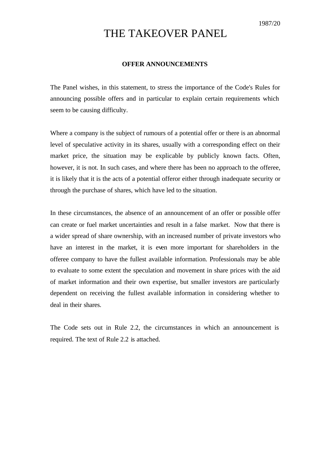## THE TAKEOVER PANEL

## **OFFER ANNOUNCEMENTS**

The Panel wishes, in this statement, to stress the importance of the Code's Rules for announcing possible offers and in particular to explain certain requirements which seem to be causing difficulty.

Where a company is the subject of rumours of a potential offer or there is an abnormal level of speculative activity in its shares, usually with a corresponding effect on their market price, the situation may be explicable by publicly known facts. Often, however, it is not. In such cases, and where there has been no approach to the offeree, it is likely that it is the acts of a potential offeror either through inadequate security or through the purchase of shares, which have led to the situation.

In these circumstances, the absence of an announcement of an offer or possible offer can create or fuel market uncertainties and result in a false market. Now that there is a wider spread of share ownership, with an increased number of private investors who have an interest in the market, it is even more important for shareholders in the offeree company to have the fullest available information. Professionals may be able to evaluate to some extent the speculation and movement in share prices with the aid of market information and their own expertise, but smaller investors are particularly dependent on receiving the fullest available information in considering whether to deal in their shares.

The Code sets out in Rule 2.2, the circumstances in which an announcement is required. The text of Rule 2.2 is attached.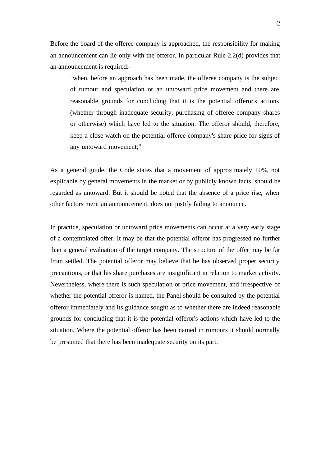Before the board of the offeree company is approached, the responsibility for making an announcement can lie only with the offeror. In particular Rule 2.2(d) provides that an announcement is required:-

"when, before an approach has been made, the offeree company is the subject of rumour and speculation or an untoward price movement and there are reasonable grounds for concluding that it is the potential offeror's actions (whether through inadequate security, purchasing of offeree company shares or otherwise) which have led to the situation. The offeror should, therefore, keep a close watch on the potential offeree company's share price for signs of any untoward movement;"

As a general guide, the Code states that a movement of approximately 10%, not explicable by general movements in the market or by publicly known facts, should be regarded as untoward. But it should be noted that the absence of a price rise, when other factors merit an announcement, does not justify failing to announce.

In practice, speculation or untoward price movements can occur at a very early stage of a contemplated offer. It may be that the potential offeror has progressed no further than a general evaluation of the target company. The structure of the offer may be far from settled. The potential offeror may believe that he has observed proper security precautions, or that his share purchases are insignificant in relation to market activity. Nevertheless, where there is such speculation or price movement, and irrespective of whether the potential offeror is named, the Panel should be consulted by the potential offeror immediately and its guidance sought as to whether there are indeed reasonable grounds for concluding that it is the potential offeror's actions which have led to the situation. Where the potential offeror has been named in rumours it should normally be presumed that there has been inadequate security on its part.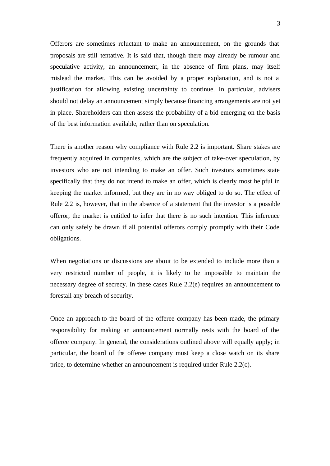Offerors are sometimes reluctant to make an announcement, on the grounds that proposals are still tentative. It is said that, though there may already be rumour and speculative activity, an announcement, in the absence of firm plans, may itself mislead the market. This can be avoided by a proper explanation, and is not a justification for allowing existing uncertainty to continue. In particular, advisers should not delay an announcement simply because financing arrangements are not yet in place. Shareholders can then assess the probability of a bid emerging on the basis of the best information available, rather than on speculation.

There is another reason why compliance with Rule 2.2 is important. Share stakes are frequently acquired in companies, which are the subject of take-over speculation, by investors who are not intending to make an offer. Such investors sometimes state specifically that they do not intend to make an offer, which is clearly most helpful in keeping the market informed, but they are in no way obliged to do so. The effect of Rule 2.2 is, however, that in the absence of a statement that the investor is a possible offeror, the market is entitled to infer that there is no such intention. This inference can only safely be drawn if all potential offerors comply promptly with their Code obligations.

When negotiations or discussions are about to be extended to include more than a very restricted number of people, it is likely to be impossible to maintain the necessary degree of secrecy. In these cases Rule 2.2(e) requires an announcement to forestall any breach of security.

Once an approach to the board of the offeree company has been made, the primary responsibility for making an announcement normally rests with the board of the offeree company. In general, the considerations outlined above will equally apply; in particular, the board of the offeree company must keep a close watch on its share price, to determine whether an announcement is required under Rule 2.2(c).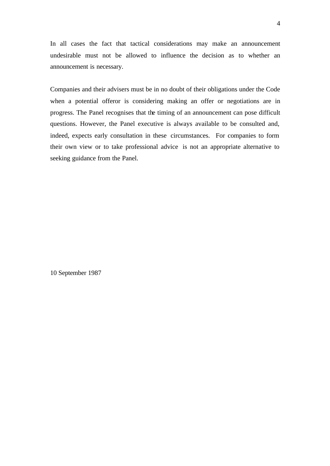In all cases the fact that tactical considerations may make an announcement undesirable must not be allowed to influence the decision as to whether an announcement is necessary.

Companies and their advisers must be in no doubt of their obligations under the Code when a potential offeror is considering making an offer or negotiations are in progress. The Panel recognises that the timing of an announcement can pose difficult questions. However, the Panel executive is always available to be consulted and, indeed, expects early consultation in these circumstances. For companies to form their own view or to take professional advice is not an appropriate alternative to seeking guidance from the Panel.

10 September 1987